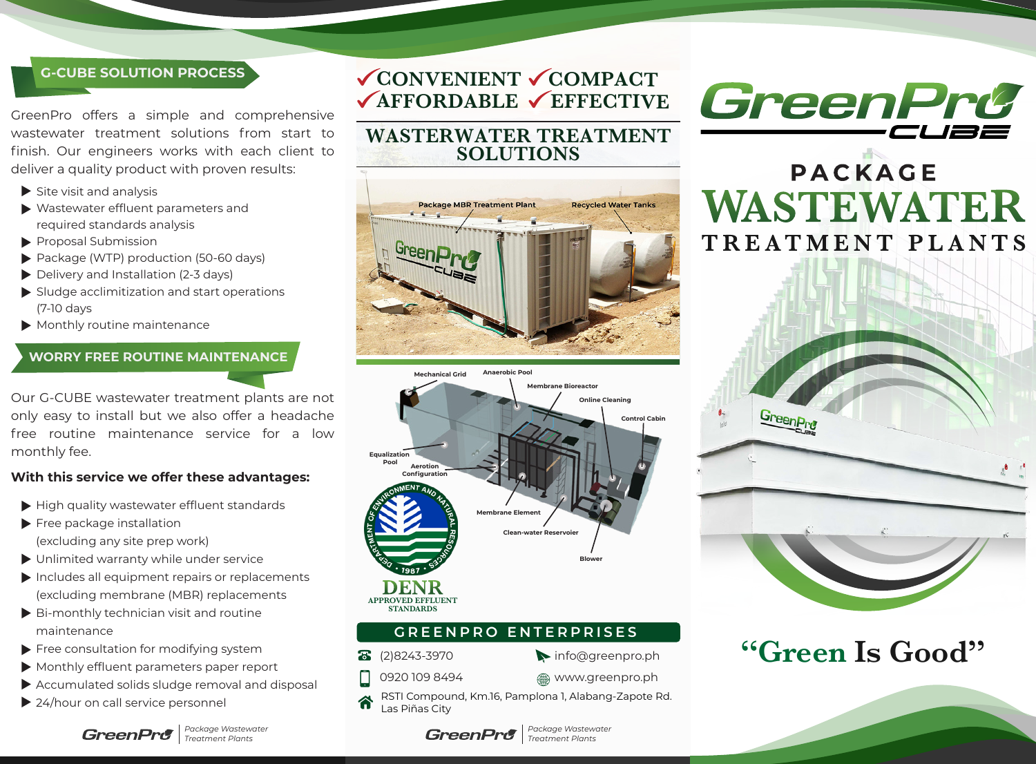### **G-CUBE SOLUTION PROCESS**

GreenPro offers a simple and comprehensive wastewater treatment solutions from start to finish. Our engineers works with each client to deliver a quality product with proven results:

- $\blacktriangleright$  Site visit and analysis
- Wastewater effluent parameters and required standards analysis
- Proposal Submission
- Package (WTP) production (50-60 days)
- Delivery and Installation (2-3 days)
- $\blacktriangleright$  Sludge acclimitization and start operations (7-10 days
- Monthly routine maintenance

#### **WORRY FREE ROUTINE MAINTENANCE**

Our G-CUBE wastewater treatment plants are not only easy to install but we also offer a headache free routine maintenance service for a low monthly fee.

#### **With this service we offer these advantages:**

- $\blacktriangleright$  High quality wastewater effluent standards
- Free package installation (excluding any site prep work)
- Unlimited warranty while under service
- $\blacktriangleright$  Includes all equipment repairs or replacements (excluding membrane (MBR) replacements
- Bi-monthly technician visit and routine maintenance
- Free consultation for modifying system
- Monthly effluent parameters paper report
- Accumulated solids sludge removal and disposal
- ▶ 24/hour on call service personnel



*Package Wastewater Treatment Plants*

**CONVENIENT COMPACT VAFFORDABLE VEFFECTIVE** 

## **WASTERWATER TREATMENT SOLUTIONS**





### **GREENPRO ENTERPRISES**

8 (2)8243-3970

0920 109 8494

- info@greenpro.ph
- **s** www.greenpro.ph

*Package Wastewater Treatment Plants*

RSTI Compound, Km.16, Pamplona 1, Alabang-Zapote Rd. Las Piñas City



# **PACKAGE WASTEWATER** TREATMENT PLANTS



# **"Green Is Good"**